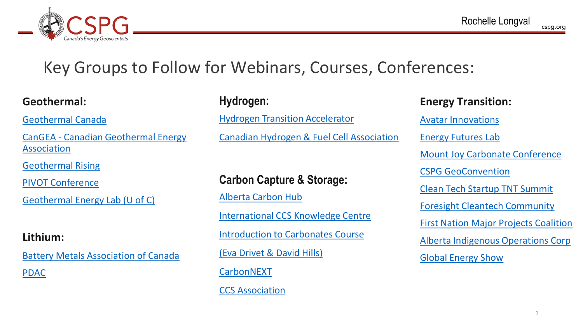

## Key Groups to Follow for Webinars, Courses, Conferences:

#### **Geothermal:**

[Geothermal Canada](https://www.geothermalcanada.org/)

CanGEA - [Canadian Geothermal Energy](https://www.cangea.ca/) Association

[Geothermal Rising](https://geothermal.org/)

[PIVOT Conference](https://www.texasgeo.org/pivot-conference) 

[Geothermal Energy Lab \(U of C\)](https://www.ucalgary.ca/labs/geothermal-energy/lab)

#### **Lithium:**

[Battery Metals Association of Canada](https://www.bmacanada.org/) [PDAC](https://www.pdac.ca/home)

#### **Hydrogen:**

[Hydrogen Transition Accelerator](https://transitionaccelerator.ca/)

[Canadian Hydrogen & Fuel Cell Association](https://www.chfca.ca/)

#### **Carbon Capture & Storage:**

[Alberta Carbon Hub](https://www.albertacarbonhub.com/) [International CCS Knowledge Centre](https://ccsknowledge.com/) [Introduction to Carbonates Course](https://cspg.org/IMIS20/CSPGIMIS20/Education/2022-Education/22SC03.aspx)  [\(Eva Drivet & David Hills\)](https://cspg.org/IMIS20/CSPGIMIS20/Education/2022-Education/22SC03.aspx) **[CarbonNEXT](https://foresightcac.com/our-sectors/carbonnext/)** [CCS Association](https://www.ccsassociation.org/)

### **Energy Transition:** [Avatar Innovations](https://www.avatarinnovations.energy/) [Energy Futures Lab](https://energyfutureslab.com/) [Mount Joy Carbonate Conference](https://www.sepm.org/mountjoy-2022) [CSPG GeoConvention](https://geoconvention.com/) [Clean Tech Startup TNT Summit](https://www.startuptnt.com/cleantechsummit) [Foresight Cleantech Community](https://foresightcac.com/) [First Nation Major Projects Coalition](https://fnmpc.ca/) [Alberta Indigenous Operations Corp](https://www.theaioc.com/) [Global Energy Show](https://www.globalenergyshow.com/)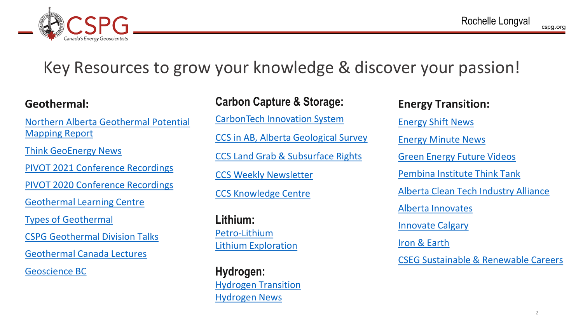

## Key Resources to grow your knowledge & discover your passion!

#### **Geothermal:**

[Northern Alberta Geothermal Potential](https://www.nadc.ca/our-actions/initiatives/northern-alberta-geothermal-potential-mapping-report/)  Mapping Report

[Think GeoEnergy](https://www.thinkgeoenergy.com/) News

[PIVOT 2021 Conference Recordings](https://www.youtube.com/channel/UCx5FK2EQ2me2hHAXMOA08SQ)

[PIVOT 2020 Conference Recordings](https://www.youtube.com/channel/UCctvYxAQxvd_HSzImqORupQ)

[Geothermal Learning Centre](https://www.albertano1.ca/learn)

[Types of Geothermal](https://www.vox.com/energy-and-environment/2020/10/21/21515461/renewable-energy-geothermal-egs-ags-supercritical)

[CSPG Geothermal Division Talks](https://cspg.org/IMIS20/CSPGIMIS20/Events/Tech_Divisions/GeothermalDT/GeoThermal.aspx)

[Geothermal Canada Lectures](https://www.eventbrite.ca/e/geothermal-essentials-moving-geothermal-forward-in-canada-registration-206970633737)

[Geoscience BC](https://www.geosciencebc.com/our-research/)

#### **Carbon Capture & Storage:**

[CarbonTech Innovation System](https://foresightcac.com/wp-content/uploads/2021/04/Carbontech-Innovation-System-online.pdf)

[CCS in AB, Alberta Geological Survey](https://ags.aer.ca/publication/esr-2000-11) [CCS Land Grab & Subsurface Rights](https://ablawg.ca/2022/03/09/albertas-carbon-capture-storage-land-grab-and-the-potential-for-conflicts-of-subsurface-rights/)

[CCS Weekly Newsletter](https://ccsassociation.us3.list-manage.com/subscribe?u=4ba4a05396f0bf7eac512a9b0&id=46d3756277)

[CCS Knowledge Centre](https://ccsknowledge.com/pub/Publications/When_CO2_Stored_UndergroundQnA_WeyburnMidale_Project.pdf)

**Lithium:** [Petro-Lithium](https://geoconvention.com/wp-content/uploads/abstracts/2018/274_GC2018_Petro-Lithium_The_Evolution_of_Energy_in_Alberta.pdf) [Lithium Exploration](https://csegrecorder.com/articles/view/geophysics-for-an-energy-transition)

**Hydrogen:** [Hydrogen Transition](https://csegrecorder.com/articles/view/the-hydrogen-transition-is-here-a-simplified-glance-at-major-factors) [Hydrogen News](https://www.pv-magazine.com/category/hydrogen/)

#### **Energy Transition:**

[Energy Shift News](https://stewardingenergy.us16.list-manage.com/subscribe?u=a4c70ab5fc78c08b7ed2b326a&id=7ca10365ee)  [Energy Minute News](https://energyminute.ca/) [Green Energy Future Videos](https://www.youtube.com/user/greenenergyfuture) [Pembina Institute Think Tank](https://www.pembina.org/) [Alberta Clean Tech Industry Alliance](https://actia.ca/) [Alberta Innovates](https://albertainnovates.ca/) [Innovate Calgary](https://innovatecalgary.com/) [Iron & Earth](https://www.ironandearth.org/) [CSEG Sustainable & Renewable Careers](https://csegrecorder.com/articles/view/focus-introduction-potential-careers-in-sustainability-and-renewables)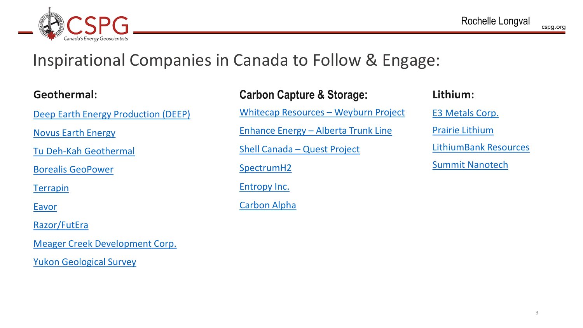

## Inspirational Companies in Canada to Follow & Engage:

#### **Geothermal:**

[Deep Earth Energy Production \(DEEP\)](https://deepcorp.ca/)

[Novus Earth Energy](https://novusearth.ca/)

Tu Deh-Kah [Geothermal](https://tudehkah.com/)

[Borealis GeoPower](http://www.borealisgeopower.com/)

[Terrapin](https://www.terrapingeo.com/) 

**[Eavor](https://www.eavor.com/)** 

[Razor/FutEra](https://www.razor-energy.com/)

[Meager Creek Development Corp.](https://meagercreek.ca/)

[Yukon Geological Survey](https://data.geology.gov.yk.ca/Search?q=geothermal)

| <b>Carbon Capture &amp; Storage:</b>        |
|---------------------------------------------|
| <b>Whitecap Resources - Weyburn Project</b> |
| Enhance Energy - Alberta Trunk Line         |
| Shell Canada - Quest Project                |

[SpectrumH2](https://www.spectrumh2.ca/)

[Entropy Inc.](https://entropyinc.com/)

[Carbon Alpha](https://carbonalpha.com/)

### **Lithium:** [E3 Metals Corp.](https://www.e3metalscorp.com/) [Prairie Lithium](https://www.prairielithium.ca/) [LithiumBank](https://www.lithiumbank.ca/) Resources [Summit Nanotech](https://www.summitnanotech.ca/)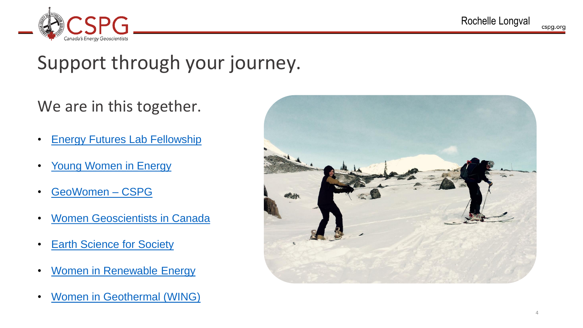

## Support through your journey.

### We are in this together.

- **[Energy Futures Lab Fellowship](https://energyfutureslab.com/fellows/)**
- [Young Women in Energy](https://www.youngwomeninenergy.com/)
- [GeoWomen –](https://www.cspg.org/IMIS20/CSPGIMIS20/GeoCommunity/GeoWomen.aspx) CSPG
- **[Women Geoscientists in Canada](https://mirageoscience.com/women-geoscientists-canada/)**
- **[Earth Science for Society](https://esfscanada.com/)**
- **[Women in Renewable Energy](https://www.womeninrenewableenergy.ca/)**
- **[Women in Geothermal \(WING\)](https://womeningeothermal.org/)**

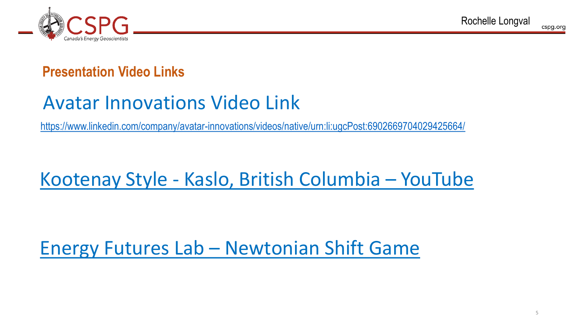

### **Presentation Video Links**

## Avatar Innovations Video Link

<https://www.linkedin.com/company/avatar-innovations/videos/native/urn:li:ugcPost:6902669704029425664/>

## Kootenay Style - [Kaslo, British Columbia](https://www.youtube.com/watch?v=yb9DO8mm41w&t=12s) – YouTube

## Energy Futures Lab – [Newtonian Shift Game](https://www.youtube.com/watch?v=VVBidauPGQk&feature=emb_imp_woyt)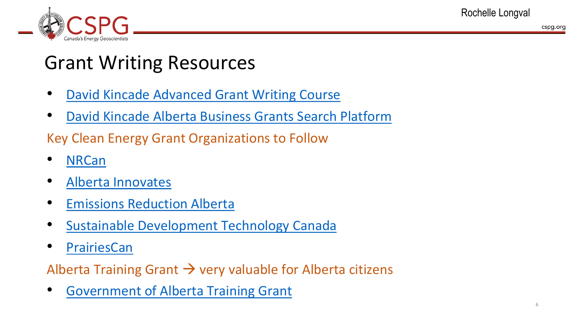



## Grant Writing Resources

- [David Kincade Advanced Grant Writing Course](https://albertabusinessgrants.ca/grant-writing/)
- [David Kincade Alberta Business Grants Search Platform](https://albertabusinessgrants.ca/finding-grants/)

Key Clean Energy Grant Organizations to Follow

- [NRCan](https://www.nrcan.gc.ca/climate-change-adapting-impacts-and-reducing-emissions/green-infrastructure-programs/19780)
- [Alberta Innovates](https://albertainnovates.ca/what-we-offer/funding-grants/)
- **[Emissions Reduction Alberta](https://eralberta.ca/apply-for-funding/)**
- [Sustainable Development Technology Canada](https://www.sdtc.ca/en/)
- **[PrairiesCan](https://www.canada.ca/en/prairies-economic-development/services/funding.html)**

Alberta Training Grant  $\rightarrow$  very valuable for Alberta citizens

• [Government of Alberta Training Grant](https://www.alberta.ca/canada-alberta-job-grant.aspx)